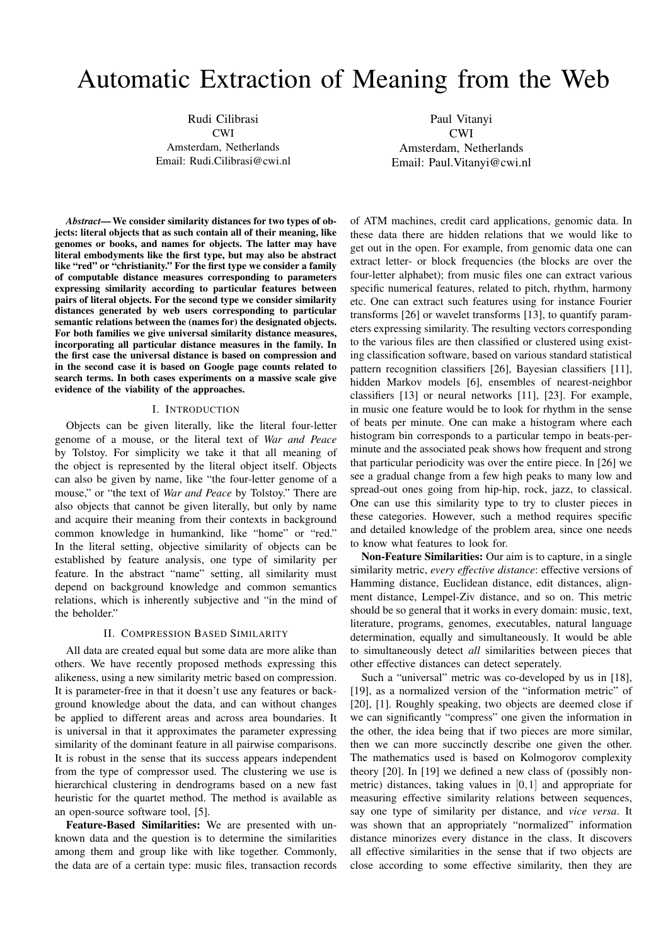# Automatic Extraction of Meaning from the Web

Rudi Cilibrasi CWI Amsterdam, Netherlands Email: Rudi.Cilibrasi@cwi.nl

*Abstract*— We consider similarity distances for two types of objects: literal objects that as such contain all of their meaning, like genomes or books, and names for objects. The latter may have literal embodyments like the first type, but may also be abstract like "red" or "christianity." For the first type we consider a family of computable distance measures corresponding to parameters expressing similarity according to particular features between pairs of literal objects. For the second type we consider similarity distances generated by web users corresponding to particular semantic relations between the (names for) the designated objects. For both families we give universal similarity distance measures, incorporating all particular distance measures in the family. In the first case the universal distance is based on compression and in the second case it is based on Google page counts related to search terms. In both cases experiments on a massive scale give evidence of the viability of the approaches.

#### I. INTRODUCTION

Objects can be given literally, like the literal four-letter genome of a mouse, or the literal text of *War and Peace* by Tolstoy. For simplicity we take it that all meaning of the object is represented by the literal object itself. Objects can also be given by name, like "the four-letter genome of a mouse," or "the text of *War and Peace* by Tolstoy." There are also objects that cannot be given literally, but only by name and acquire their meaning from their contexts in background common knowledge in humankind, like "home" or "red." In the literal setting, objective similarity of objects can be established by feature analysis, one type of similarity per feature. In the abstract "name" setting, all similarity must depend on background knowledge and common semantics relations, which is inherently subjective and "in the mind of the beholder."

# II. COMPRESSION BASED SIMILARITY

All data are created equal but some data are more alike than others. We have recently proposed methods expressing this alikeness, using a new similarity metric based on compression. It is parameter-free in that it doesn't use any features or background knowledge about the data, and can without changes be applied to different areas and across area boundaries. It is universal in that it approximates the parameter expressing similarity of the dominant feature in all pairwise comparisons. It is robust in the sense that its success appears independent from the type of compressor used. The clustering we use is hierarchical clustering in dendrograms based on a new fast heuristic for the quartet method. The method is available as an open-source software tool, [5].

Feature-Based Similarities: We are presented with unknown data and the question is to determine the similarities among them and group like with like together. Commonly, the data are of a certain type: music files, transaction records

Paul Vitanyi CWI Amsterdam, Netherlands Email: Paul.Vitanyi@cwi.nl

of ATM machines, credit card applications, genomic data. In these data there are hidden relations that we would like to get out in the open. For example, from genomic data one can extract letter- or block frequencies (the blocks are over the four-letter alphabet); from music files one can extract various specific numerical features, related to pitch, rhythm, harmony etc. One can extract such features using for instance Fourier transforms [26] or wavelet transforms [13], to quantify parameters expressing similarity. The resulting vectors corresponding to the various files are then classified or clustered using existing classification software, based on various standard statistical pattern recognition classifiers [26], Bayesian classifiers [11], hidden Markov models [6], ensembles of nearest-neighbor classifiers [13] or neural networks [11], [23]. For example, in music one feature would be to look for rhythm in the sense of beats per minute. One can make a histogram where each histogram bin corresponds to a particular tempo in beats-perminute and the associated peak shows how frequent and strong that particular periodicity was over the entire piece. In [26] we see a gradual change from a few high peaks to many low and spread-out ones going from hip-hip, rock, jazz, to classical. One can use this similarity type to try to cluster pieces in these categories. However, such a method requires specific and detailed knowledge of the problem area, since one needs to know what features to look for.

Non-Feature Similarities: Our aim is to capture, in a single similarity metric, *every effective distance*: effective versions of Hamming distance, Euclidean distance, edit distances, alignment distance, Lempel-Ziv distance, and so on. This metric should be so general that it works in every domain: music, text, literature, programs, genomes, executables, natural language determination, equally and simultaneously. It would be able to simultaneously detect *all* similarities between pieces that other effective distances can detect seperately.

Such a "universal" metric was co-developed by us in [18], [19], as a normalized version of the "information metric" of [20], [1]. Roughly speaking, two objects are deemed close if we can significantly "compress" one given the information in the other, the idea being that if two pieces are more similar, then we can more succinctly describe one given the other. The mathematics used is based on Kolmogorov complexity theory [20]. In [19] we defined a new class of (possibly nonmetric) distances, taking values in [0,1] and appropriate for measuring effective similarity relations between sequences, say one type of similarity per distance, and *vice versa*. It was shown that an appropriately "normalized" information distance minorizes every distance in the class. It discovers all effective similarities in the sense that if two objects are close according to some effective similarity, then they are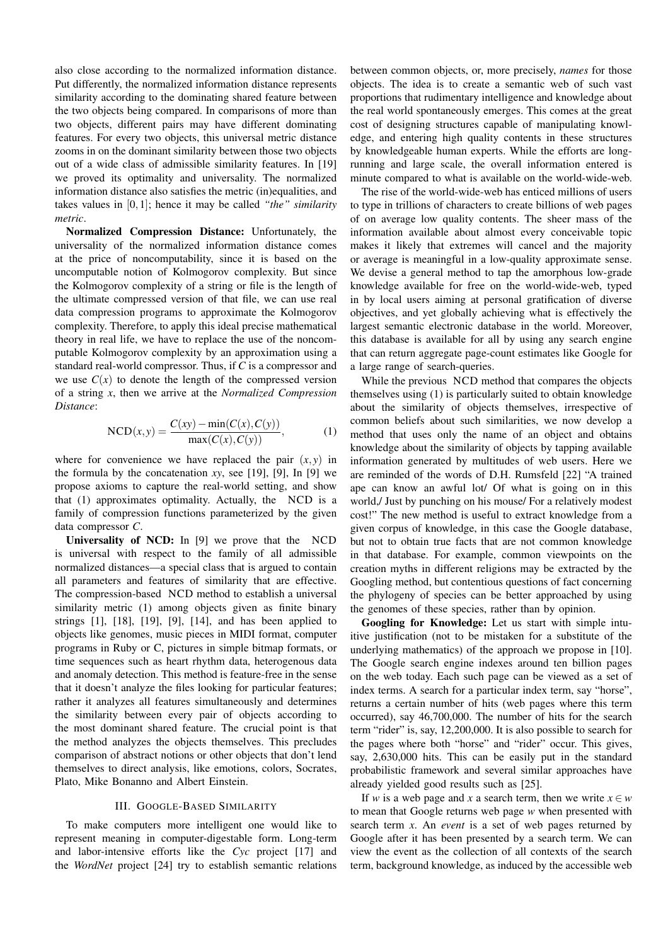also close according to the normalized information distance. Put differently, the normalized information distance represents similarity according to the dominating shared feature between the two objects being compared. In comparisons of more than two objects, different pairs may have different dominating features. For every two objects, this universal metric distance zooms in on the dominant similarity between those two objects out of a wide class of admissible similarity features. In [19] we proved its optimality and universality. The normalized information distance also satisfies the metric (in)equalities, and takes values in [0,1]; hence it may be called *"the" similarity metric*.

Normalized Compression Distance: Unfortunately, the universality of the normalized information distance comes at the price of noncomputability, since it is based on the uncomputable notion of Kolmogorov complexity. But since the Kolmogorov complexity of a string or file is the length of the ultimate compressed version of that file, we can use real data compression programs to approximate the Kolmogorov complexity. Therefore, to apply this ideal precise mathematical theory in real life, we have to replace the use of the noncomputable Kolmogorov complexity by an approximation using a standard real-world compressor. Thus, if *C* is a compressor and we use  $C(x)$  to denote the length of the compressed version of a string *x*, then we arrive at the *Normalized Compression Distance*:

NCD(x,y) = 
$$
\frac{C(xy) - \min(C(x), C(y))}{\max(C(x), C(y))},
$$
 (1)

where for convenience we have replaced the pair  $(x, y)$  in the formula by the concatenation  $xy$ , see [19], [9], In [9] we propose axioms to capture the real-world setting, and show that (1) approximates optimality. Actually, the NCD is a family of compression functions parameterized by the given data compressor *C*.

Universality of NCD: In [9] we prove that the NCD is universal with respect to the family of all admissible normalized distances—a special class that is argued to contain all parameters and features of similarity that are effective. The compression-based NCD method to establish a universal similarity metric (1) among objects given as finite binary strings  $[1]$ ,  $[18]$ ,  $[19]$ ,  $[9]$ ,  $[14]$ , and has been applied to objects like genomes, music pieces in MIDI format, computer programs in Ruby or C, pictures in simple bitmap formats, or time sequences such as heart rhythm data, heterogenous data and anomaly detection. This method is feature-free in the sense that it doesn't analyze the files looking for particular features; rather it analyzes all features simultaneously and determines the similarity between every pair of objects according to the most dominant shared feature. The crucial point is that the method analyzes the objects themselves. This precludes comparison of abstract notions or other objects that don't lend themselves to direct analysis, like emotions, colors, Socrates, Plato, Mike Bonanno and Albert Einstein.

# III. GOOGLE-BASED SIMILARITY

To make computers more intelligent one would like to represent meaning in computer-digestable form. Long-term and labor-intensive efforts like the *Cyc* project [17] and the *WordNet* project [24] try to establish semantic relations

between common objects, or, more precisely, *names* for those objects. The idea is to create a semantic web of such vast proportions that rudimentary intelligence and knowledge about the real world spontaneously emerges. This comes at the great cost of designing structures capable of manipulating knowledge, and entering high quality contents in these structures by knowledgeable human experts. While the efforts are longrunning and large scale, the overall information entered is minute compared to what is available on the world-wide-web.

The rise of the world-wide-web has enticed millions of users to type in trillions of characters to create billions of web pages of on average low quality contents. The sheer mass of the information available about almost every conceivable topic makes it likely that extremes will cancel and the majority or average is meaningful in a low-quality approximate sense. We devise a general method to tap the amorphous low-grade knowledge available for free on the world-wide-web, typed in by local users aiming at personal gratification of diverse objectives, and yet globally achieving what is effectively the largest semantic electronic database in the world. Moreover, this database is available for all by using any search engine that can return aggregate page-count estimates like Google for a large range of search-queries.

While the previous NCD method that compares the objects themselves using (1) is particularly suited to obtain knowledge about the similarity of objects themselves, irrespective of common beliefs about such similarities, we now develop a method that uses only the name of an object and obtains knowledge about the similarity of objects by tapping available information generated by multitudes of web users. Here we are reminded of the words of D.H. Rumsfeld [22] "A trained ape can know an awful lot/ Of what is going on in this world,/ Just by punching on his mouse/ For a relatively modest cost!" The new method is useful to extract knowledge from a given corpus of knowledge, in this case the Google database, but not to obtain true facts that are not common knowledge in that database. For example, common viewpoints on the creation myths in different religions may be extracted by the Googling method, but contentious questions of fact concerning the phylogeny of species can be better approached by using the genomes of these species, rather than by opinion.

Googling for Knowledge: Let us start with simple intuitive justification (not to be mistaken for a substitute of the underlying mathematics) of the approach we propose in [10]. The Google search engine indexes around ten billion pages on the web today. Each such page can be viewed as a set of index terms. A search for a particular index term, say "horse", returns a certain number of hits (web pages where this term occurred), say 46,700,000. The number of hits for the search term "rider" is, say, 12,200,000. It is also possible to search for the pages where both "horse" and "rider" occur. This gives, say, 2,630,000 hits. This can be easily put in the standard probabilistic framework and several similar approaches have already yielded good results such as [25].

If *w* is a web page and *x* a search term, then we write  $x \in w$ to mean that Google returns web page *w* when presented with search term *x*. An *event* is a set of web pages returned by Google after it has been presented by a search term. We can view the event as the collection of all contexts of the search term, background knowledge, as induced by the accessible web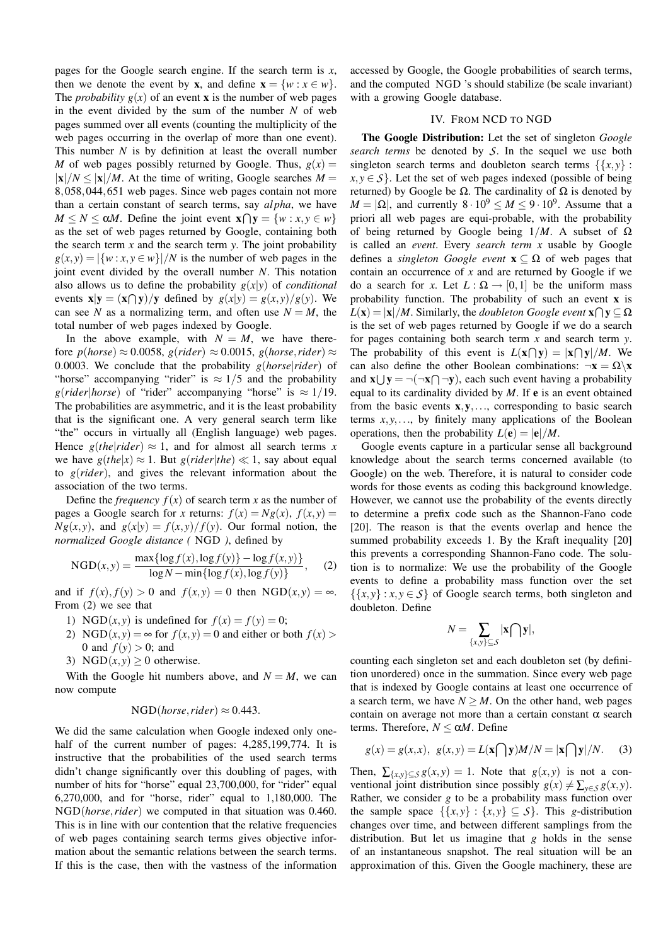pages for the Google search engine. If the search term is *x*, then we denote the event by **x**, and define  $\mathbf{x} = \{w : x \in w\}.$ The *probability*  $g(x)$  of an event **x** is the number of web pages in the event divided by the sum of the number *N* of web pages summed over all events (counting the multiplicity of the web pages occurring in the overlap of more than one event). This number *N* is by definition at least the overall number *M* of web pages possibly returned by Google. Thus,  $g(x) =$  $|x|/N \leq |x|/M$ . At the time of writing, Google searches  $M =$ 8,058,044,651 web pages. Since web pages contain not more than a certain constant of search terms, say *al pha*, we have  $M \leq N \leq \alpha M$ . Define the joint event  $\mathbf{x} \cap \mathbf{y} = \{w : x, y \in w\}$ as the set of web pages returned by Google, containing both the search term  $x$  and the search term  $y$ . The joint probability  $g(x, y) = |\{w : x, y \in w\}|/N$  is the number of web pages in the joint event divided by the overall number *N*. This notation also allows us to define the probability  $g(x|y)$  of *conditional* events  $\mathbf{x}|\mathbf{y} = (\mathbf{x} \cap \mathbf{y})/\mathbf{y}$  defined by  $g(x|y) = g(x, y)/g(y)$ . We can see *N* as a normalizing term, and often use  $N = M$ , the total number of web pages indexed by Google.

In the above example, with  $N = M$ , we have therefore  $p(horse) \approx 0.0058$ ,  $g(rider) \approx 0.0015$ ,  $g(horse, rider) \approx$ 0.0003. We conclude that the probability *g*(*horse*|*rider*) of "horse" accompanying "rider" is  $\approx 1/5$  and the probability *g*(*rider*|*horse*) of "rider" accompanying "horse" is  $\approx 1/19$ . The probabilities are asymmetric, and it is the least probability that is the significant one. A very general search term like "the" occurs in virtually all (English language) web pages. Hence  $g(the|rider) \approx 1$ , and for almost all search terms *x* we have  $g(the|x) \approx 1$ . But  $g(rider|the) \ll 1$ , say about equal to *g*(*rider*), and gives the relevant information about the association of the two terms.

Define the *frequency*  $f(x)$  of search term *x* as the number of pages a Google search for *x* returns:  $f(x) = Ng(x)$ ,  $f(x, y) =$  $Ng(x, y)$ , and  $g(x|y) = f(x, y)/f(y)$ . Our formal notion, the *normalized Google distance (* NGD *)*, defined by

$$
NGD(x, y) = \frac{\max\{\log f(x), \log f(y)\} - \log f(x, y)\}}{\log N - \min\{\log f(x), \log f(y)\}},
$$
 (2)

and if  $f(x)$ ,  $f(y) > 0$  and  $f(x, y) = 0$  then NGD(*x*, *y*) =  $\infty$ . From (2) we see that

- 1) NGD(*x*, *y*) is undefined for  $f(x) = f(y) = 0$ ;
- 2) NGD(*x*, *y*) =  $\infty$  for  $f(x, y) = 0$  and either or both  $f(x)$ 0 and  $f(y) > 0$ ; and
- 3) NGD $(x, y) \ge 0$  otherwise.

With the Google hit numbers above, and  $N = M$ , we can now compute

#### $NGD(horse, rider) \approx 0.443$ .

We did the same calculation when Google indexed only onehalf of the current number of pages: 4,285,199,774. It is instructive that the probabilities of the used search terms didn't change significantly over this doubling of pages, with number of hits for "horse" equal 23,700,000, for "rider" equal 6,270,000, and for "horse, rider" equal to 1,180,000. The NGD(*horse*,*rider*) we computed in that situation was 0.460. This is in line with our contention that the relative frequencies of web pages containing search terms gives objective information about the semantic relations between the search terms. If this is the case, then with the vastness of the information

accessed by Google, the Google probabilities of search terms, and the computed NGD 's should stabilize (be scale invariant) with a growing Google database.

# IV. FROM NCD TO NGD

The Google Distribution: Let the set of singleton *Google search terms* be denoted by *S*. In the sequel we use both singleton search terms and doubleton search terms  $\{\{x, y\}$ :  $x, y \in S$ . Let the set of web pages indexed (possible of being returned) by Google be  $\Omega$ . The cardinality of  $\Omega$  is denoted by  $M = |\Omega|$ , and currently  $8 \cdot 10^9 \le M \le 9 \cdot 10^9$ . Assume that a priori all web pages are equi-probable, with the probability of being returned by Google being 1/*M*. A subset of Ω is called an *event*. Every *search term x* usable by Google defines a *singleton Google event*  $\mathbf{x} \subseteq \Omega$  of web pages that contain an occurrence of *x* and are returned by Google if we do a search for *x*. Let  $L : \Omega \to [0,1]$  be the uniform mass probability function. The probability of such an event  $\bf{x}$  is  $L(\mathbf{x}) = |\mathbf{x}|/M$ . Similarly, the *doubleton Google event*  $\mathbf{x} \cap \mathbf{y} \subseteq \Omega$ is the set of web pages returned by Google if we do a search for pages containing both search term *x* and search term *y*. The probability of this event is  $L(x \cap y) = |x \cap y| / M$ . We can also define the other Boolean combinations:  $\neg x = \Omega \setminus x$ and  $\mathbf{x} \cup \mathbf{y} = \neg(\neg \mathbf{x} \cap \neg \mathbf{y})$ , each such event having a probability equal to its cardinality divided by *M*. If e is an event obtained from the basic events  $x, y, \ldots$ , corresponding to basic search terms  $x, y, \ldots$ , by finitely many applications of the Boolean operations, then the probability  $L(\mathbf{e}) = |\mathbf{e}|/M$ .

Google events capture in a particular sense all background knowledge about the search terms concerned available (to Google) on the web. Therefore, it is natural to consider code words for those events as coding this background knowledge. However, we cannot use the probability of the events directly to determine a prefix code such as the Shannon-Fano code [20]. The reason is that the events overlap and hence the summed probability exceeds 1. By the Kraft inequality [20] this prevents a corresponding Shannon-Fano code. The solution is to normalize: We use the probability of the Google events to define a probability mass function over the set  $\{\{x, y\} : x, y \in S\}$  of Google search terms, both singleton and doubleton. Define

$$
N = \sum_{\{x,y\} \subseteq S} |\mathbf{x} \bigcap \mathbf{y}|,
$$

counting each singleton set and each doubleton set (by definition unordered) once in the summation. Since every web page that is indexed by Google contains at least one occurrence of a search term, we have  $N \geq M$ . On the other hand, web pages contain on average not more than a certain constant  $\alpha$  search terms. Therefore,  $N \le \alpha M$ . Define

$$
g(x) = g(x, x), \ g(x, y) = L(\mathbf{x} \cap \mathbf{y})M/N = |\mathbf{x} \cap \mathbf{y}|/N. \tag{3}
$$

Then,  $\sum_{\{x,y\} \subseteq S} g(x,y) = 1$ . Note that  $g(x,y)$  is not a conventional joint distribution since possibly  $g(x) \neq \sum_{y \in S} g(x, y)$ . Rather, we consider *g* to be a probability mass function over the sample space  $\{\{x, y\} : \{x, y\} \subseteq S\}$ . This *g*-distribution changes over time, and between different samplings from the distribution. But let us imagine that *g* holds in the sense of an instantaneous snapshot. The real situation will be an approximation of this. Given the Google machinery, these are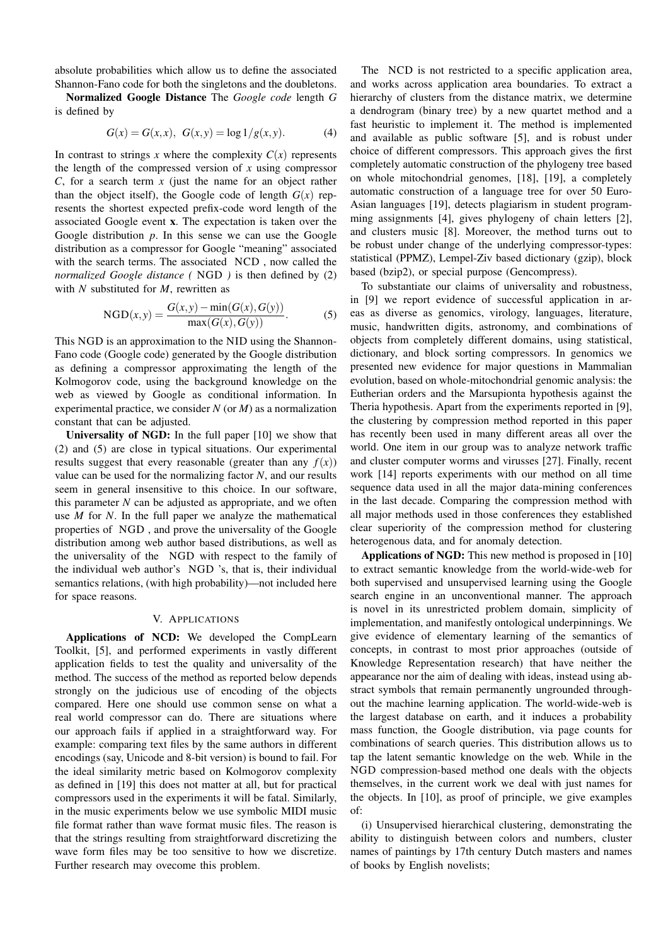absolute probabilities which allow us to define the associated Shannon-Fano code for both the singletons and the doubletons.

Normalized Google Distance The *Google code* length *G* is defined by

$$
G(x) = G(x, x), \ G(x, y) = \log 1/g(x, y). \tag{4}
$$

In contrast to strings *x* where the complexity  $C(x)$  represents the length of the compressed version of *x* using compressor *C*, for a search term *x* (just the name for an object rather than the object itself), the Google code of length  $G(x)$  represents the shortest expected prefix-code word length of the associated Google event x. The expectation is taken over the Google distribution *p*. In this sense we can use the Google distribution as a compressor for Google "meaning" associated with the search terms. The associated NCD , now called the *normalized Google distance (* NGD *)* is then defined by (2) with *N* substituted for *M*, rewritten as

$$
NGD(x, y) = \frac{G(x, y) - min(G(x), G(y))}{max(G(x), G(y))}.
$$
 (5)

This NGD is an approximation to the NID using the Shannon-Fano code (Google code) generated by the Google distribution as defining a compressor approximating the length of the Kolmogorov code, using the background knowledge on the web as viewed by Google as conditional information. In experimental practice, we consider *N* (or *M*) as a normalization constant that can be adjusted.

Universality of NGD: In the full paper [10] we show that (2) and (5) are close in typical situations. Our experimental results suggest that every reasonable (greater than any  $f(x)$ ) value can be used for the normalizing factor *N*, and our results seem in general insensitive to this choice. In our software, this parameter *N* can be adjusted as appropriate, and we often use *M* for *N*. In the full paper we analyze the mathematical properties of NGD , and prove the universality of the Google distribution among web author based distributions, as well as the universality of the NGD with respect to the family of the individual web author's NGD 's, that is, their individual semantics relations, (with high probability)—not included here for space reasons.

## V. APPLICATIONS

Applications of NCD: We developed the CompLearn Toolkit, [5], and performed experiments in vastly different application fields to test the quality and universality of the method. The success of the method as reported below depends strongly on the judicious use of encoding of the objects compared. Here one should use common sense on what a real world compressor can do. There are situations where our approach fails if applied in a straightforward way. For example: comparing text files by the same authors in different encodings (say, Unicode and 8-bit version) is bound to fail. For the ideal similarity metric based on Kolmogorov complexity as defined in [19] this does not matter at all, but for practical compressors used in the experiments it will be fatal. Similarly, in the music experiments below we use symbolic MIDI music file format rather than wave format music files. The reason is that the strings resulting from straightforward discretizing the wave form files may be too sensitive to how we discretize. Further research may ovecome this problem.

The NCD is not restricted to a specific application area, and works across application area boundaries. To extract a hierarchy of clusters from the distance matrix, we determine a dendrogram (binary tree) by a new quartet method and a fast heuristic to implement it. The method is implemented and available as public software [5], and is robust under choice of different compressors. This approach gives the first completely automatic construction of the phylogeny tree based on whole mitochondrial genomes, [18], [19], a completely automatic construction of a language tree for over 50 Euro-Asian languages [19], detects plagiarism in student programming assignments [4], gives phylogeny of chain letters [2], and clusters music [8]. Moreover, the method turns out to be robust under change of the underlying compressor-types: statistical (PPMZ), Lempel-Ziv based dictionary (gzip), block based (bzip2), or special purpose (Gencompress).

To substantiate our claims of universality and robustness, in [9] we report evidence of successful application in areas as diverse as genomics, virology, languages, literature, music, handwritten digits, astronomy, and combinations of objects from completely different domains, using statistical, dictionary, and block sorting compressors. In genomics we presented new evidence for major questions in Mammalian evolution, based on whole-mitochondrial genomic analysis: the Eutherian orders and the Marsupionta hypothesis against the Theria hypothesis. Apart from the experiments reported in [9], the clustering by compression method reported in this paper has recently been used in many different areas all over the world. One item in our group was to analyze network traffic and cluster computer worms and virusses [27]. Finally, recent work [14] reports experiments with our method on all time sequence data used in all the major data-mining conferences in the last decade. Comparing the compression method with all major methods used in those conferences they established clear superiority of the compression method for clustering heterogenous data, and for anomaly detection.

Applications of NGD: This new method is proposed in [10] to extract semantic knowledge from the world-wide-web for both supervised and unsupervised learning using the Google search engine in an unconventional manner. The approach is novel in its unrestricted problem domain, simplicity of implementation, and manifestly ontological underpinnings. We give evidence of elementary learning of the semantics of concepts, in contrast to most prior approaches (outside of Knowledge Representation research) that have neither the appearance nor the aim of dealing with ideas, instead using abstract symbols that remain permanently ungrounded throughout the machine learning application. The world-wide-web is the largest database on earth, and it induces a probability mass function, the Google distribution, via page counts for combinations of search queries. This distribution allows us to tap the latent semantic knowledge on the web. While in the NGD compression-based method one deals with the objects themselves, in the current work we deal with just names for the objects. In [10], as proof of principle, we give examples of:

(i) Unsupervised hierarchical clustering, demonstrating the ability to distinguish between colors and numbers, cluster names of paintings by 17th century Dutch masters and names of books by English novelists;